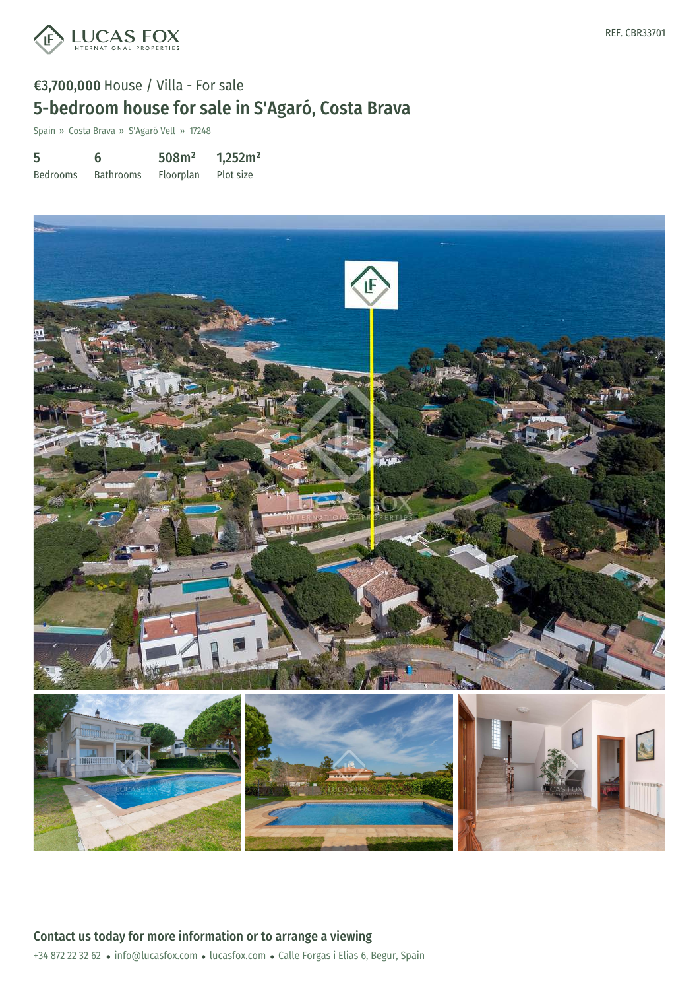

# €3,700,000 House / Villa - For sale 5-bedroom house for sale in S'Agaró, Costa Brava

Spain » Costa Brava » S'Agaró Vell » 17248

| 5               | 6                | 508m <sup>2</sup> | 1,252m <sup>2</sup> |
|-----------------|------------------|-------------------|---------------------|
| <b>Bedrooms</b> | <b>Bathrooms</b> | Floorplan         | Plot size           |



+34 872 22 32 62 · info@lucasfox.com · lucasfox.com · Calle Forgas i Elias 6, Begur, Spain Contact us today for more information or to arrange a viewing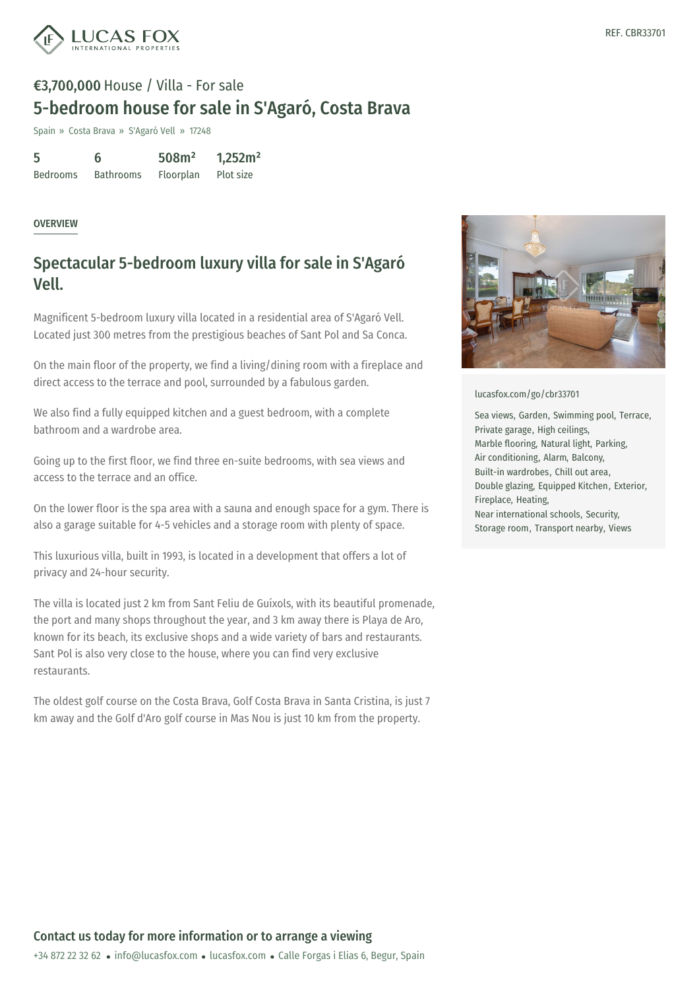

# €3,700,000 House / Villa - For sale 5-bedroom house for sale in S'Agaró, Costa Brava

Spain » Costa Brava » S'Agaró Vell » 17248

| 5               | 6                | 508m <sup>2</sup> | 1,252m <sup>2</sup> |
|-----------------|------------------|-------------------|---------------------|
| <b>Bedrooms</b> | <b>Bathrooms</b> | Floorplan         | Plot size           |

#### **OVERVIEW**

### Spectacular 5-bedroom luxury villa for sale in S'Agaró Vell.

Magnificent 5-bedroom luxury villa located in a residential area of S'Agaró Vell. Located just 300 metres from the prestigious beaches of Sant Pol and Sa Conca.

On the main floor of the property, we find a living/dining room with a fireplace and direct access to the terrace and pool, surrounded by a fabulous garden.

We also find a fully equipped kitchen and a guest bedroom, with a complete bathroom and a wardrobe area.

Going up to the first floor, we find three en-suite bedrooms, with sea views and access to the terrace and an office.

On the lower floor is the spa area with a sauna and enough space for a gym. There is also a garage suitable for 4-5 vehicles and a storage room with plenty of space.

This luxurious villa, built in 1993, is located in a development that offers a lot of privacy and 24-hour security.

The villa is located just 2 km from Sant Feliu de Guíxols, with its beautiful promenade, the port and many shops throughout the year, and 3 km away there is Playa de Aro, known for its beach, its exclusive shops and a wide variety of bars and restaurants. Sant Pol is also very close to the house, where you can find very exclusive restaurants.

The oldest golf course on the Costa Brava, Golf Costa Brava in Santa Cristina, is just 7 km away and the Golf d'Aro golf course in Mas Nou is just 10 km from the property.



[lucasfox.com/go/cbr33701](https://www.lucasfox.com/go/cbr33701)

Sea views, Garden, Swimming pool, Terrace, Private garage, High ceilings, Marble flooring, Natural light, Parking, Air conditioning, Alarm, Balcony, Built-in wardrobes, Chill out area, Double glazing, Equipped Kitchen, Exterior, Fireplace, Heating, Near international schools, Security, Storage room, Transport nearby, Views